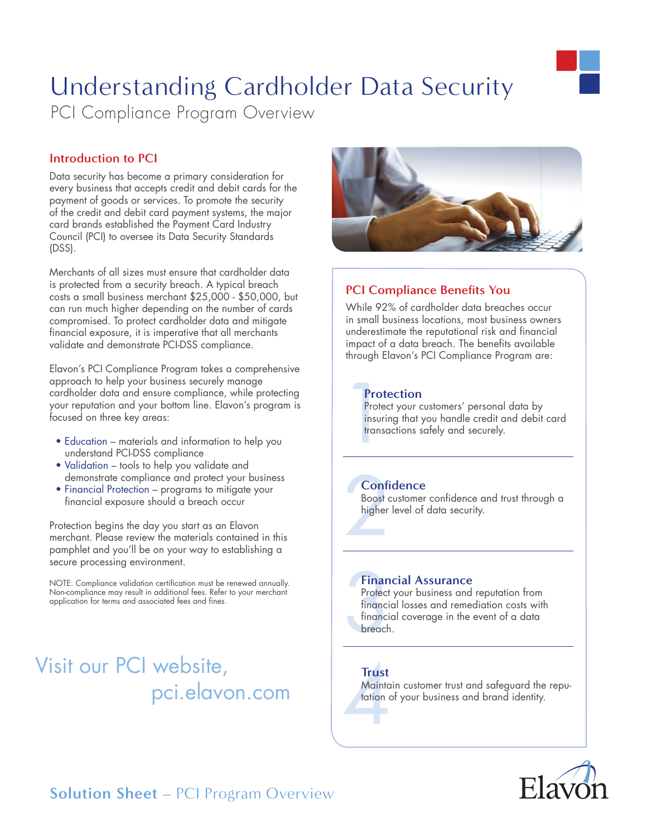# Understanding Cardholder Data Security

PCI Compliance Program Overview

### **Introduction to PCI**

Data security has become a primary consideration for every business that accepts credit and debit cards for the payment of goods or services. To promote the security of the credit and debit card payment systems, the major card brands established the Payment Card Industry Council (PCI) to oversee its Data Security Standards (DSS).

Merchants of all sizes must ensure that cardholder data is protected from a security breach. A typical breach costs a small business merchant \$25,000 - \$50,000, but can run much higher depending on the number of cards compromised. To protect cardholder data and mitigate financial exposure, it is imperative that all merchants validate and demonstrate PCI-DSS compliance.

Elavon's PCI Compliance Program takes a comprehensive approach to help your business securely manage cardholder data and ensure compliance, while protecting your reputation and your bottom line. Elavon's program is focused on three key areas:

- Education materials and information to help you understand PCI-DSS compliance
- Validation tools to help you validate and demonstrate compliance and protect your business
- Financial Protection programs to mitigate your financial exposure should a breach occur

Protection begins the day you start as an Elavon merchant. Please review the materials contained in this pamphlet and you'll be on your way to establishing a secure processing environment.

NOTE: Compliance validation certification must be renewed annually. Non-compliance may result in additional fees. Refer to your merchant application for terms and associated fees and fines.

## Visit our PCI website, pci.elavon.com



## **PCI Compliance Benefits You**

While 92% of cardholder data breaches occur in small business locations, most business owners underestimate the reputational risk and financial impact of a data breach. The benefits available through Elavon's PCI Compliance Program are:

### **Protection**

Prote<br>Protec<br>insuri<br>transc Protect your customers' personal data by insuring that you handle credit and debit card transactions safely and securely.

## **Confidence**

**Confi**<br>Boost c<br>higher Boost customer confidence and trust through a higher level of data security.

#### **Financial Assurance**

Finan<br>Protect<br>financie<br>financie<br>breach Protect your business and reputation from financial losses and remediation costs with financial coverage in the event of a data breach.

#### **Trust**

Trust<br>Mainta<br>tation of Maintain customer trust and safeguard the reputation of your business and brand identity.